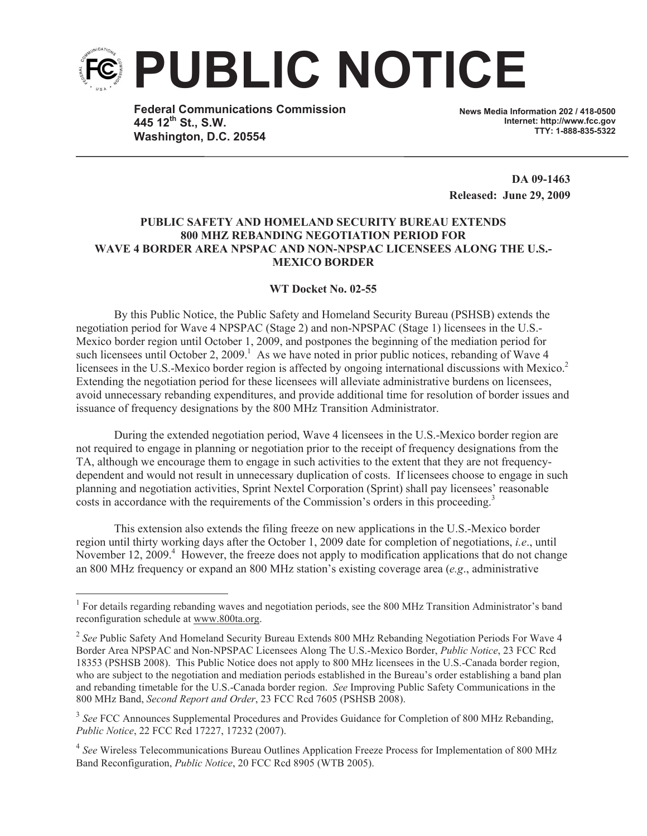

**Federal Communications Commission 445 12th St., S.W. Washington, D.C. 20554**

**News Media Information 202 / 418-0500 Internet: http://www.fcc.gov TTY: 1-888-835-5322**

**DA 09-1463 Released: June 29, 2009**

## **PUBLIC SAFETY AND HOMELAND SECURITY BUREAU EXTENDS 800 MHZ REBANDING NEGOTIATION PERIOD FOR WAVE 4 BORDER AREA NPSPAC AND NON-NPSPAC LICENSEES ALONG THE U.S.- MEXICO BORDER**

## **WT Docket No. 02-55**

By this Public Notice, the Public Safety and Homeland Security Bureau (PSHSB) extends the negotiation period for Wave 4 NPSPAC (Stage 2) and non-NPSPAC (Stage 1) licensees in the U.S.- Mexico border region until October 1, 2009, and postpones the beginning of the mediation period for such licensees until October 2, 2009.<sup>1</sup> As we have noted in prior public notices, rebanding of Wave 4 licensees in the U.S.-Mexico border region is affected by ongoing international discussions with Mexico.<sup>2</sup> Extending the negotiation period for these licensees will alleviate administrative burdens on licensees, avoid unnecessary rebanding expenditures, and provide additional time for resolution of border issues and issuance of frequency designations by the 800 MHz Transition Administrator.

During the extended negotiation period, Wave 4 licensees in the U.S.-Mexico border region are not required to engage in planning or negotiation prior to the receipt of frequency designations from the TA, although we encourage them to engage in such activities to the extent that they are not frequencydependent and would not result in unnecessary duplication of costs. If licensees choose to engage in such planning and negotiation activities, Sprint Nextel Corporation (Sprint) shall pay licensees' reasonable costs in accordance with the requirements of the Commission's orders in this proceeding.<sup>3</sup>

This extension also extends the filing freeze on new applications in the U.S.-Mexico border region until thirty working days after the October 1, 2009 date for completion of negotiations, *i.e*., until November 12, 2009.<sup>4</sup> However, the freeze does not apply to modification applications that do not change an 800 MHz frequency or expand an 800 MHz station's existing coverage area (*e.g*., administrative

<sup>&</sup>lt;sup>1</sup> For details regarding rebanding waves and negotiation periods, see the 800 MHz Transition Administrator's band reconfiguration schedule at www.800ta.org.

<sup>&</sup>lt;sup>2</sup> See Public Safety And Homeland Security Bureau Extends 800 MHz Rebanding Negotiation Periods For Wave 4 Border Area NPSPAC and Non-NPSPAC Licensees Along The U.S.-Mexico Border, *Public Notice*, 23 FCC Rcd 18353 (PSHSB 2008). This Public Notice does not apply to 800 MHz licensees in the U.S.-Canada border region, who are subject to the negotiation and mediation periods established in the Bureau's order establishing a band plan and rebanding timetable for the U.S.-Canada border region. *See* Improving Public Safety Communications in the 800 MHz Band, *Second Report and Order*, 23 FCC Rcd 7605 (PSHSB 2008).

<sup>&</sup>lt;sup>3</sup> See FCC Announces Supplemental Procedures and Provides Guidance for Completion of 800 MHz Rebanding, *Public Notice*, 22 FCC Rcd 17227, 17232 (2007).

<sup>&</sup>lt;sup>4</sup> See Wireless Telecommunications Bureau Outlines Application Freeze Process for Implementation of 800 MHz Band Reconfiguration, *Public Notice*, 20 FCC Rcd 8905 (WTB 2005).